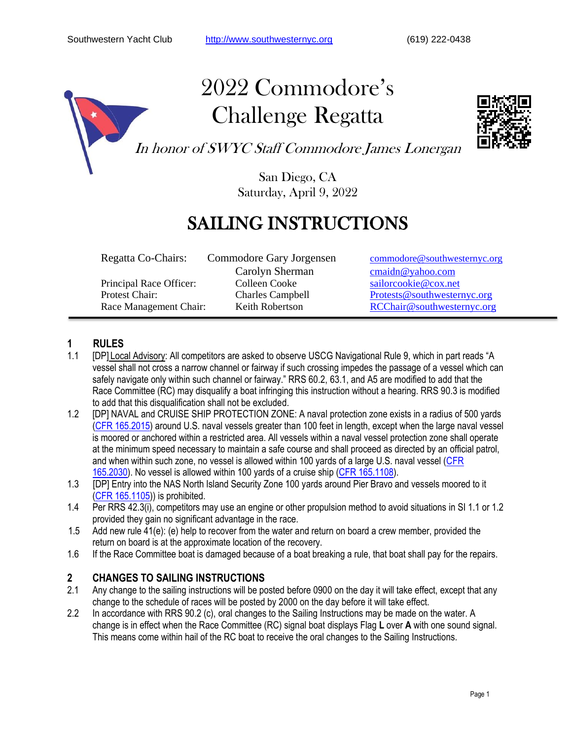

# 2022 Commodore's Challenge Regatta



In honor of SWYC Staff Commodore James Lonergan

San Diego, CA Saturday, April 9, 2022

### SAILING INSTRUCTIONS

Principal Race Officer:

Regatta Co-Chairs: Commodore Gary Jorgensen [commodore@southwesternyc.org](mailto:commodore@southwesternyc.org) Carolyn Sherman [cmaidn@yahoo.com](mailto:cmaidn@yahoo.com)<br>
Colleen Cooke sailorcookie@cox.net Protest Chair: Charles Campbell [Protests@southwesternyc.org](mailto:Protests@southwesternyc.org) Race Management Chair: Keith Robertson [RCChair@southwesternyc.org](mailto:RCChair@southwesternyc.org)

#### **1 RULES**

- 1.1 [DP] Local Advisory: All competitors are asked to observe USCG Navigational Rule 9, which in part reads "A vessel shall not cross a narrow channel or fairway if such crossing impedes the passage of a vessel which can safely navigate only within such channel or fairway." RRS 60.2, 63.1, and A5 are modified to add that the Race Committee (RC) may disqualify a boat infringing this instruction without a hearing. RRS 90.3 is modified to add that this disqualification shall not be excluded.
- 1.2 [DP] NAVAL and CRUISE SHIP PROTECTION ZONE: A naval protection zone exists in a radius of 500 yards [\(CFR 165.2015\)](https://www.govinfo.gov/content/pkg/CFR-2020-title33-vol2/pdf/CFR-2020-title33-vol2-sec165-2015.pdf) around U.S. naval vessels greater than 100 feet in length, except when the large naval vessel is moored or anchored within a restricted area. All vessels within a naval vessel protection zone shall operate at the minimum speed necessary to maintain a safe course and shall proceed as directed by an official patrol, and when within such zone, no vessel is allowed within 100 yards of a large U.S. naval vessel [\(CFR](https://www.govinfo.gov/content/pkg/CFR-2020-title33-vol2/pdf/CFR-2020-title33-vol2-sec165-2030.pdf)  [165.2030\)](https://www.govinfo.gov/content/pkg/CFR-2020-title33-vol2/pdf/CFR-2020-title33-vol2-sec165-2030.pdf). No vessel is allowed within 100 yards of a cruise ship [\(CFR 165.1108\)](https://www.govinfo.gov/content/pkg/CFR-2020-title33-vol2/pdf/CFR-2020-title33-vol2-sec165-1108.pdf).
- 1.3 [DP] Entry into the NAS North Island Security Zone 100 yards around Pier Bravo and vessels moored to it [\(CFR 165.1105\)](https://www.govinfo.gov/content/pkg/CFR-2014-title33-vol2/pdf/CFR-2014-title33-vol2-sec165-1105.pdf)) is prohibited.
- 1.4 Per RRS 42.3(i), competitors may use an engine or other propulsion method to avoid situations in SI 1.1 or 1.2 provided they gain no significant advantage in the race.
- 1.5 Add new rule 41(e): (e) help to recover from the water and return on board a crew member, provided the return on board is at the approximate location of the recovery.
- 1.6 If the Race Committee boat is damaged because of a boat breaking a rule, that boat shall pay for the repairs.

#### **2 CHANGES TO SAILING INSTRUCTIONS**

- 2.1 Any change to the sailing instructions will be posted before 0900 on the day it will take effect, except that any change to the schedule of races will be posted by 2000 on the day before it will take effect.
- 2.2 In accordance with RRS 90.2 (c), oral changes to the Sailing Instructions may be made on the water. A change is in effect when the Race Committee (RC) signal boat displays Flag **L** over **A** with one sound signal. This means come within hail of the RC boat to receive the oral changes to the Sailing Instructions.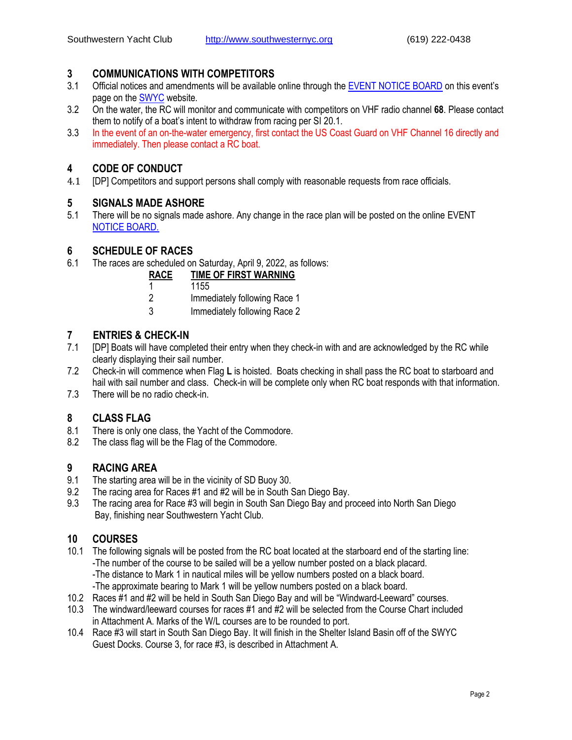#### **3 COMMUNICATIONS WITH COMPETITORS**

- 3.1 Official notices and amendments will be available online through the [EVENT NOTICE BOARD](https://www.regattanetwork.com/event/24272) on this event's page on the [SWYC](https://southwesternyc.org/) website.
- 3.2 On the water, the RC will monitor and communicate with competitors on VHF radio channel **68**. Please contact them to notify of a boat's intent to withdraw from racing per SI 20.1.
- 3.3 In the event of an on-the-water emergency, first contact the US Coast Guard on VHF Channel 16 directly and immediately. Then please contact a RC boat.

#### **4 CODE OF CONDUCT**

4.1 **[DP]** Competitors and support persons shall comply with reasonable requests from race officials.

#### **5 SIGNALS MADE ASHORE**

5.1 There will be no signals made ashore. Any change in the race plan will be posted on the online EVENT [NOTICE BOARD.](https://www.regattanetwork.com/event/24272)

#### **6 SCHEDULE OF RACES**

6.1 The races are scheduled on Saturday, April 9, 2022, as follows:

- 2 Immediately following Race 1
- 3 Immediately following Race 2

#### **7 ENTRIES & CHECK-IN**

- 7.1 [DP] Boats will have completed their entry when they check-in with and are acknowledged by the RC while clearly displaying their sail number.
- 7.2 Check-in will commence when Flag **L** is hoisted. Boats checking in shall pass the RC boat to starboard and hail with sail number and class. Check-in will be complete only when RC boat responds with that information.
- 7.3 There will be no radio check-in.

#### **8 CLASS FLAG**

- 8.1 There is only one class, the Yacht of the Commodore.
- 8.2 The class flag will be the Flag of the Commodore.

#### **9 RACING AREA**

- 9.1 The starting area will be in the vicinity of SD Buoy 30.
- 9.2 The racing area for Races #1 and #2 will be in South San Diego Bay.
- 9.3 The racing area for Race #3 will begin in South San Diego Bay and proceed into North San Diego Bay, finishing near Southwestern Yacht Club.

#### **10 COURSES**

- 10.1 The following signals will be posted from the RC boat located at the starboard end of the starting line: -The number of the course to be sailed will be a yellow number posted on a black placard. -The distance to Mark 1 in nautical miles will be yellow numbers posted on a black board. -The approximate bearing to Mark 1 will be yellow numbers posted on a black board.
- 10.2 Races #1 and #2 will be held in South San Diego Bay and will be "Windward-Leeward" courses.
- 10.3 The windward/leeward courses for races #1 and #2 will be selected from the Course Chart included in Attachment A. Marks of the W/L courses are to be rounded to port.
- 10.4 Race #3 will start in South San Diego Bay. It will finish in the Shelter Island Basin off of the SWYC Guest Docks. Course 3, for race #3, is described in Attachment A.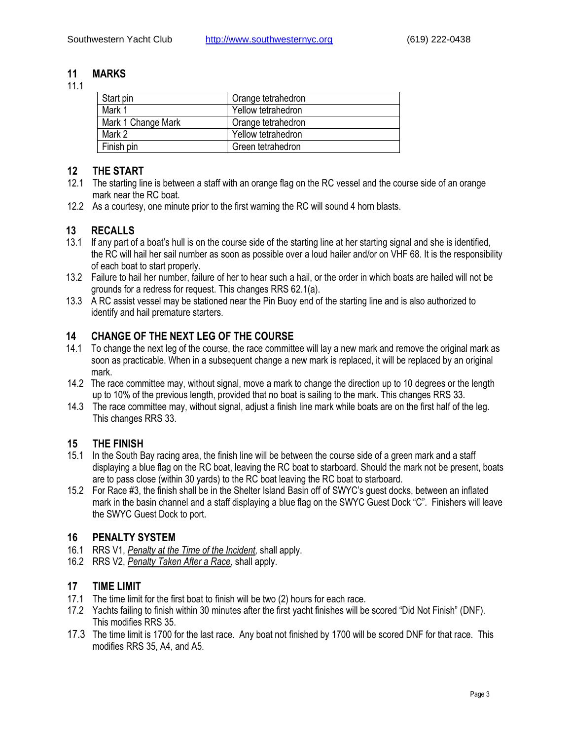#### **11 MARKS**

11.1

| Start pin          | Orange tetrahedron |
|--------------------|--------------------|
| Mark 1             | Yellow tetrahedron |
| Mark 1 Change Mark | Orange tetrahedron |
| Mark 2             | Yellow tetrahedron |
| Finish pin         | Green tetrahedron  |

#### **12 THE START**

- 12.1 The starting line is between a staff with an orange flag on the RC vessel and the course side of an orange mark near the RC boat.
- 12.2 As a courtesy, one minute prior to the first warning the RC will sound 4 horn blasts.

#### **13 RECALLS**

- 13.1 If any part of a boat's hull is on the course side of the starting line at her starting signal and she is identified, the RC will hail her sail number as soon as possible over a loud hailer and/or on VHF 68. It is the responsibility of each boat to start properly.
- 13.2 Failure to hail her number, failure of her to hear such a hail, or the order in which boats are hailed will not be grounds for a redress for request. This changes RRS 62.1(a).
- 13.3 A RC assist vessel may be stationed near the Pin Buoy end of the starting line and is also authorized to identify and hail premature starters.

#### **14 CHANGE OF THE NEXT LEG OF THE COURSE**

- 14.1 To change the next leg of the course, the race committee will lay a new mark and remove the original mark as soon as practicable. When in a subsequent change a new mark is replaced, it will be replaced by an original mark.
- 14.2 The race committee may, without signal, move a mark to change the direction up to 10 degrees or the length up to 10% of the previous length, provided that no boat is sailing to the mark. This changes RRS 33.
- 14.3 The race committee may, without signal, adjust a finish line mark while boats are on the first half of the leg. This changes RRS 33.

#### **15 THE FINISH**

- 15.1 In the South Bay racing area, the finish line will be between the course side of a green mark and a staff displaying a blue flag on the RC boat, leaving the RC boat to starboard. Should the mark not be present, boats are to pass close (within 30 yards) to the RC boat leaving the RC boat to starboard.
- 15.2 For Race #3, the finish shall be in the Shelter Island Basin off of SWYC's guest docks, between an inflated mark in the basin channel and a staff displaying a blue flag on the SWYC Guest Dock "C". Finishers will leave the SWYC Guest Dock to port.

#### **16 PENALTY SYSTEM**

- 16.1 RRS V1, *Penalty at the Time of the Incident,* shall apply.
- 16.2 RRS V2, *Penalty Taken After a Race*, shall apply.

#### **17 TIME LIMIT**

- 17.1 The time limit for the first boat to finish will be two (2) hours for each race.
- 17.2 Yachts failing to finish within 30 minutes after the first yacht finishes will be scored "Did Not Finish" (DNF). This modifies RRS 35.
- 17.3 The time limit is 1700 for the last race. Any boat not finished by 1700 will be scored DNF for that race. This modifies RRS 35, A4, and A5.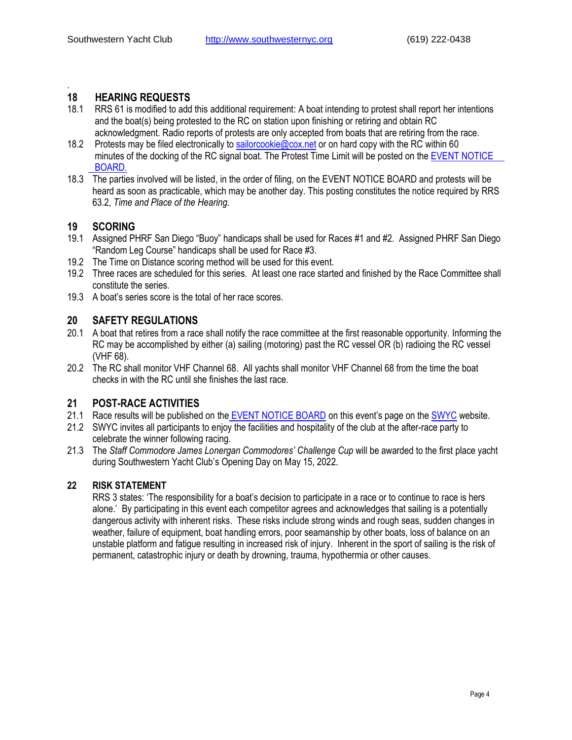#### . **18 HEARING REQUESTS**

- 18.1 RRS 61 is modified to add this additional requirement: A boat intending to protest shall report her intentions and the boat(s) being protested to the RC on station upon finishing or retiring and obtain RC acknowledgment. Radio reports of protests are only accepted from boats that are retiring from the race.
- 18.2 Protests may be filed electronically to [sailorcookie@cox.net](mailto:sailorcookie@cox.net) or on hard copy with the RC within 60 minutes of the docking of the RC signal boat. The Protest Time Limit will be posted on the [EVENT NOTICE](https://www.regattanetwork.com/event/24272)  [BOARD.](https://www.regattanetwork.com/event/24272)
- 18.3 The parties involved will be listed, in the order of filing, on the EVENT NOTICE BOARD and protests will be heard as soon as practicable, which may be another day. This posting constitutes the notice required by RRS 63.2, *Time and Place of the Hearing*.

#### **19 SCORING**

- 19.1 Assigned PHRF San Diego "Buoy" handicaps shall be used for Races #1 and #2. Assigned PHRF San Diego "Random Leg Course" handicaps shall be used for Race #3.
- 19.2 The Time on Distance scoring method will be used for this event.
- 19.2 Three races are scheduled for this series. At least one race started and finished by the Race Committee shall constitute the series.
- 19.3 A boat's series score is the total of her race scores.

#### **20 SAFETY REGULATIONS**

- 20.1 A boat that retires from a race shall notify the race committee at the first reasonable opportunity. Informing the RC may be accomplished by either (a) sailing (motoring) past the RC vessel OR (b) radioing the RC vessel (VHF 68).
- 20.2 The RC shall monitor VHF Channel 68. All yachts shall monitor VHF Channel 68 from the time the boat checks in with the RC until she finishes the last race.

#### **21 POST-RACE ACTIVITIES**

- 21.1 Race results will be published on the [EVENT NOTICE BOARD](https://www.regattanetwork.com/event/24272) on this event's page on the [SWYC](https://southwesternyc.org/) website.
- 21.2 SWYC invites all participants to enjoy the facilities and hospitality of the club at the after-race party to celebrate the winner following racing.
- 21.3 The *Staff Commodore James Lonergan Commodores' Challenge Cup* will be awarded to the first place yacht during Southwestern Yacht Club's Opening Day on May 15, 2022.

#### **22 RISK STATEMENT**

RRS 3 states: 'The responsibility for a boat's decision to participate in a race or to continue to race is hers alone.' By participating in this event each competitor agrees and acknowledges that sailing is a potentially dangerous activity with inherent risks. These risks include strong winds and rough seas, sudden changes in weather, failure of equipment, boat handling errors, poor seamanship by other boats, loss of balance on an unstable platform and fatigue resulting in increased risk of injury. Inherent in the sport of sailing is the risk of permanent, catastrophic injury or death by drowning, trauma, hypothermia or other causes.